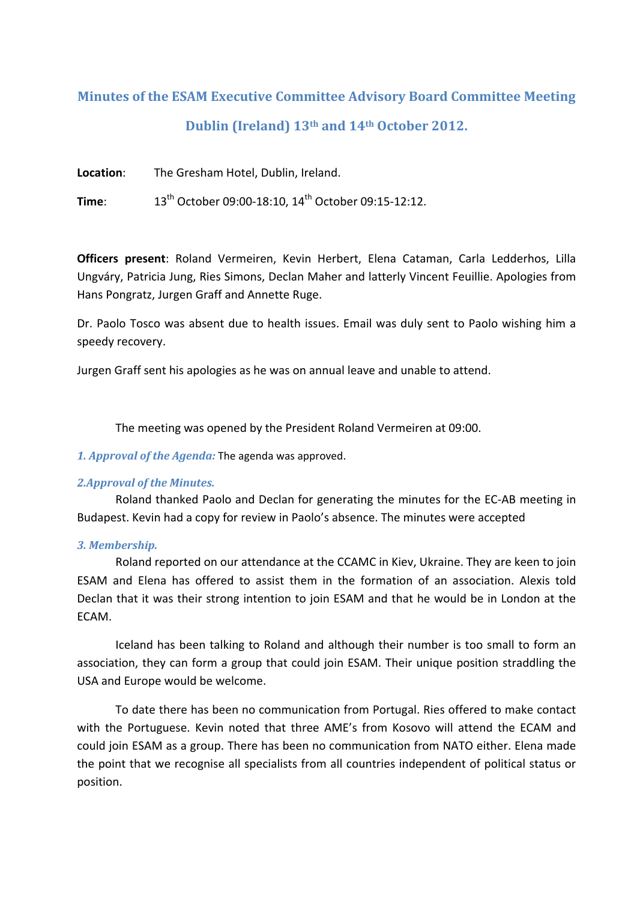# **Minutes of the ESAM Executive Committee Advisory Board Committee Meeting Dublin (Ireland) 13th and 14th October 2012.**

**Location**: The Gresham Hotel, Dublin, Ireland.

**Time**: 13<sup>th</sup> October 09:00-18:10, 14<sup>th</sup> October 09:15-12:12.

**Officers present**: Roland Vermeiren, Kevin Herbert, Elena Cataman, Carla Ledderhos, Lilla Ungváry, Patricia Jung, Ries Simons, Declan Maher and latterly Vincent Feuillie. Apologies from Hans Pongratz, Jurgen Graff and Annette Ruge.

Dr. Paolo Tosco was absent due to health issues. Email was duly sent to Paolo wishing him a speedy recovery.

Jurgen Graff sent his apologies as he was on annual leave and unable to attend.

The meeting was opened by the President Roland Vermeiren at 09:00.

# *1. Approval of the Agenda:* The agenda was approved.

# *2.Approval of the Minutes.*

Roland thanked Paolo and Declan for generating the minutes for the EC‐AB meeting in Budapest. Kevin had a copy for review in Paolo's absence. The minutes were accepted

# *3. Membership.*

Roland reported on our attendance at the CCAMC in Kiev, Ukraine. They are keen to join ESAM and Elena has offered to assist them in the formation of an association. Alexis told Declan that it was their strong intention to join ESAM and that he would be in London at the ECAM.

Iceland has been talking to Roland and although their number is too small to form an association, they can form a group that could join ESAM. Their unique position straddling the USA and Europe would be welcome.

To date there has been no communication from Portugal. Ries offered to make contact with the Portuguese. Kevin noted that three AME's from Kosovo will attend the ECAM and could join ESAM as a group. There has been no communication from NATO either. Elena made the point that we recognise all specialists from all countries independent of political status or position.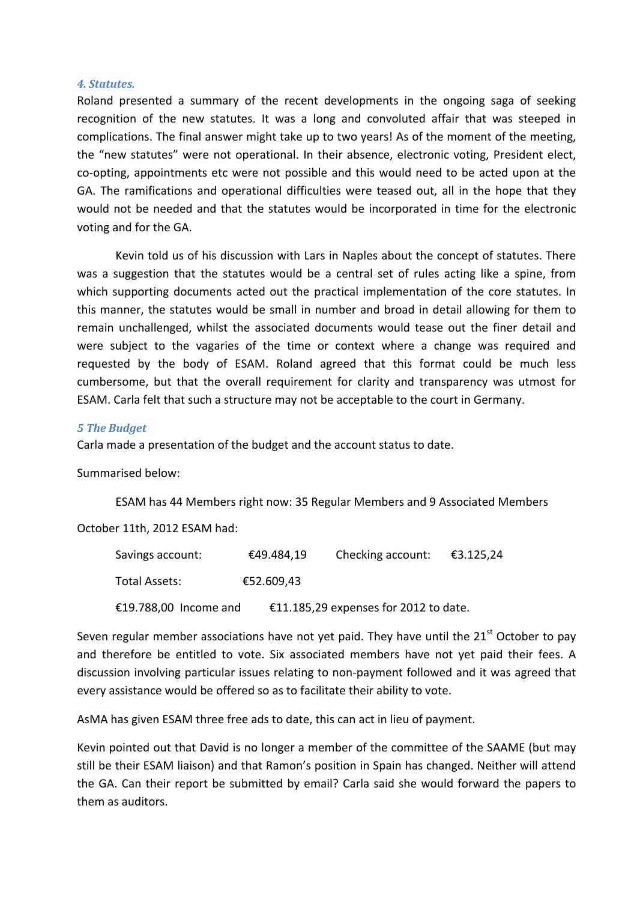#### *4. Statutes.*

Roland presented a summary of the recent developments in the ongoing saga of seeking recognition of the new statutes. It was a long and convoluted affair that was steeped in complications. The final answer might take up to two years! As of the moment of the meeting, the "new statutes" were not operational. In their absence, electronic voting, President elect, co‐opting, appointments etc were not possible and this would need to be acted upon at the GA. The ramifications and operational difficulties were teased out, all in the hope that they would not be needed and that the statutes would be incorporated in time for the electronic voting and for the GA.

Kevin told us of his discussion with Lars in Naples about the concept of statutes. There was a suggestion that the statutes would be a central set of rules acting like a spine, from which supporting documents acted out the practical implementation of the core statutes. In this manner, the statutes would be small in number and broad in detail allowing for them to remain unchallenged, whilst the associated documents would tease out the finer detail and were subject to the vagaries of the time or context where a change was required and requested by the body of ESAM. Roland agreed that this format could be much less cumbersome, but that the overall requirement for clarity and transparency was utmost for ESAM. Carla felt that such a structure may not be acceptable to the court in Germany.

### *5 The Budget*

Carla made a presentation of the budget and the account status to date.

#### Summarised below:

ESAM has 44 Members right now: 35 Regular Members and 9 Associated Members

#### October 11th, 2012 ESAM had:

| Savings account:      | €49.484,19 | Checking account:                     | €3.125,24 |
|-----------------------|------------|---------------------------------------|-----------|
| Total Assets:         | €52.609,43 |                                       |           |
| €19.788,00 Income and |            | €11.185,29 expenses for 2012 to date. |           |

Seven regular member associations have not yet paid. They have until the  $21<sup>st</sup>$  October to pay and therefore be entitled to vote. Six associated members have not yet paid their fees. A discussion involving particular issues relating to non‐payment followed and it was agreed that every assistance would be offered so as to facilitate their ability to vote.

AsMA has given ESAM three free ads to date, this can act in lieu of payment.

Kevin pointed out that David is no longer a member of the committee of the SAAME (but may still be their ESAM liaison) and that Ramon's position in Spain has changed. Neither will attend the GA. Can their report be submitted by email? Carla said she would forward the papers to them as auditors.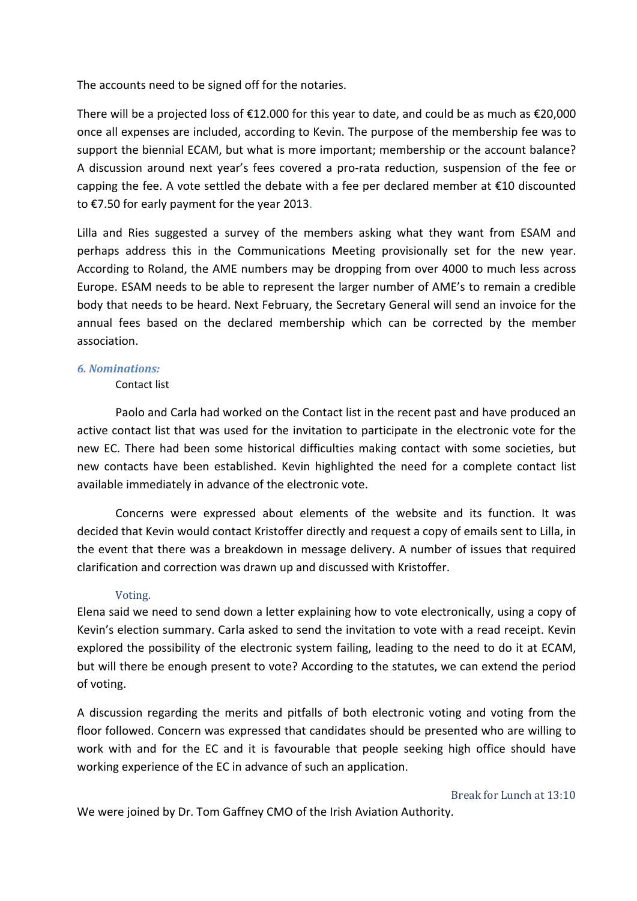The accounts need to be signed off for the notaries.

There will be a projected loss of  $£12.000$  for this year to date, and could be as much as  $£20,000$ once all expenses are included, according to Kevin. The purpose of the membership fee was to support the biennial ECAM, but what is more important; membership or the account balance? A discussion around next year's fees covered a pro‐rata reduction, suspension of the fee or capping the fee. A vote settled the debate with a fee per declared member at  $\epsilon$ 10 discounted to €7.50 for early payment for the year 2013.

Lilla and Ries suggested a survey of the members asking what they want from ESAM and perhaps address this in the Communications Meeting provisionally set for the new year. According to Roland, the AME numbers may be dropping from over 4000 to much less across Europe. ESAM needs to be able to represent the larger number of AME's to remain a credible body that needs to be heard. Next February, the Secretary General will send an invoice for the annual fees based on the declared membership which can be corrected by the member association.

# *6. Nominations:*

#### Contact list

Paolo and Carla had worked on the Contact list in the recent past and have produced an active contact list that was used for the invitation to participate in the electronic vote for the new EC. There had been some historical difficulties making contact with some societies, but new contacts have been established. Kevin highlighted the need for a complete contact list available immediately in advance of the electronic vote.

Concerns were expressed about elements of the website and its function. It was decided that Kevin would contact Kristoffer directly and request a copy of emails sent to Lilla, in the event that there was a breakdown in message delivery. A number of issues that required clarification and correction was drawn up and discussed with Kristoffer.

# Voting.

Elena said we need to send down a letter explaining how to vote electronically, using a copy of Kevin's election summary. Carla asked to send the invitation to vote with a read receipt. Kevin explored the possibility of the electronic system failing, leading to the need to do it at ECAM, but will there be enough present to vote? According to the statutes, we can extend the period of voting.

A discussion regarding the merits and pitfalls of both electronic voting and voting from the floor followed. Concern was expressed that candidates should be presented who are willing to work with and for the EC and it is favourable that people seeking high office should have working experience of the EC in advance of such an application.

We were joined by Dr. Tom Gaffney CMO of the Irish Aviation Authority.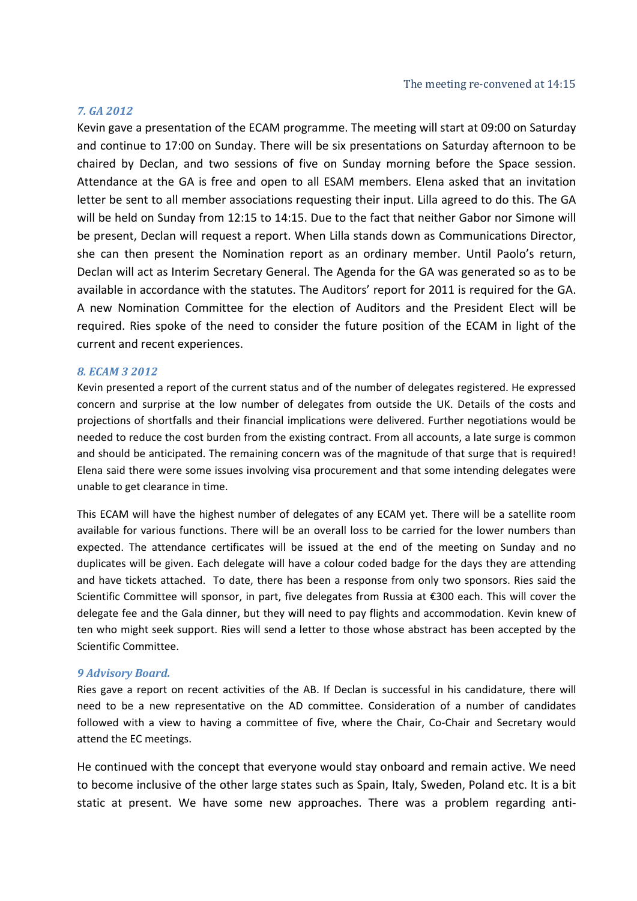#### *7. GA 2012*

Kevin gave a presentation of the ECAM programme. The meeting will start at 09:00 on Saturday and continue to 17:00 on Sunday. There will be six presentations on Saturday afternoon to be chaired by Declan, and two sessions of five on Sunday morning before the Space session. Attendance at the GA is free and open to all ESAM members. Elena asked that an invitation letter be sent to all member associations requesting their input. Lilla agreed to do this. The GA will be held on Sunday from 12:15 to 14:15. Due to the fact that neither Gabor nor Simone will be present, Declan will request a report. When Lilla stands down as Communications Director, she can then present the Nomination report as an ordinary member. Until Paolo's return, Declan will act as Interim Secretary General. The Agenda for the GA was generated so as to be available in accordance with the statutes. The Auditors' report for 2011 is required for the GA. A new Nomination Committee for the election of Auditors and the President Elect will be required. Ries spoke of the need to consider the future position of the ECAM in light of the current and recent experiences.

#### *8. ECAM 3 2012*

Kevin presented a report of the current status and of the number of delegates registered. He expressed concern and surprise at the low number of delegates from outside the UK. Details of the costs and projections of shortfalls and their financial implications were delivered. Further negotiations would be needed to reduce the cost burden from the existing contract. From all accounts, a late surge is common and should be anticipated. The remaining concern was of the magnitude of that surge that is required! Elena said there were some issues involving visa procurement and that some intending delegates were unable to get clearance in time.

This ECAM will have the highest number of delegates of any ECAM yet. There will be a satellite room available for various functions. There will be an overall loss to be carried for the lower numbers than expected. The attendance certificates will be issued at the end of the meeting on Sunday and no duplicates will be given. Each delegate will have a colour coded badge for the days they are attending and have tickets attached. To date, there has been a response from only two sponsors. Ries said the Scientific Committee will sponsor, in part, five delegates from Russia at €300 each. This will cover the delegate fee and the Gala dinner, but they will need to pay flights and accommodation. Kevin knew of ten who might seek support. Ries will send a letter to those whose abstract has been accepted by the Scientific Committee.

#### *9 Advisory Board.*

Ries gave a report on recent activities of the AB. If Declan is successful in his candidature, there will need to be a new representative on the AD committee. Consideration of a number of candidates followed with a view to having a committee of five, where the Chair, Co-Chair and Secretary would attend the EC meetings.

He continued with the concept that everyone would stay onboard and remain active. We need to become inclusive of the other large states such as Spain, Italy, Sweden, Poland etc. It is a bit static at present. We have some new approaches. There was a problem regarding anti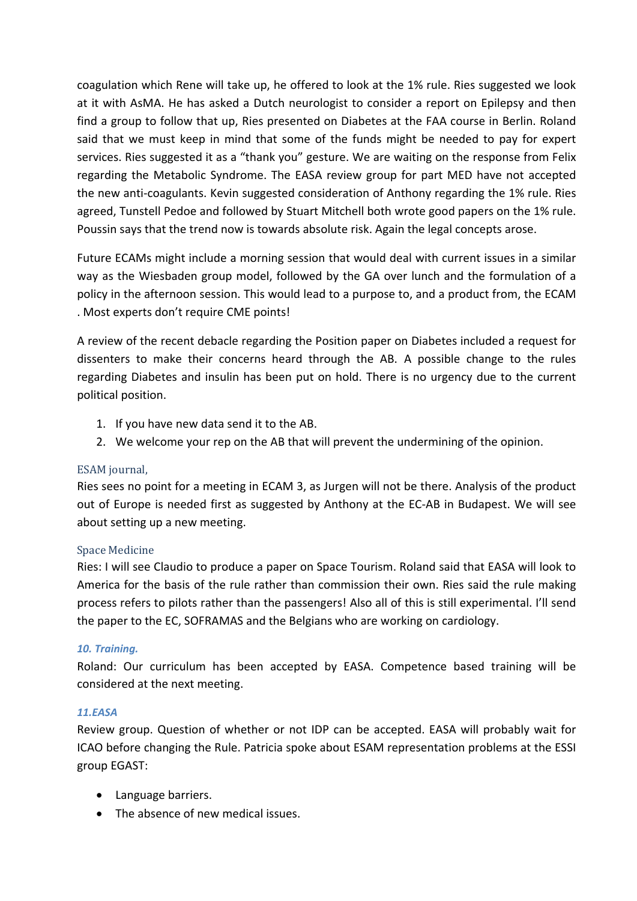coagulation which Rene will take up, he offered to look at the 1% rule. Ries suggested we look at it with AsMA. He has asked a Dutch neurologist to consider a report on Epilepsy and then find a group to follow that up, Ries presented on Diabetes at the FAA course in Berlin. Roland said that we must keep in mind that some of the funds might be needed to pay for expert services. Ries suggested it as a "thank you" gesture. We are waiting on the response from Felix regarding the Metabolic Syndrome. The EASA review group for part MED have not accepted the new anti-coagulants. Kevin suggested consideration of Anthony regarding the 1% rule. Ries agreed, Tunstell Pedoe and followed by Stuart Mitchell both wrote good papers on the 1% rule. Poussin says that the trend now is towards absolute risk. Again the legal concepts arose.

Future ECAMs might include a morning session that would deal with current issues in a similar way as the Wiesbaden group model, followed by the GA over lunch and the formulation of a policy in the afternoon session. This would lead to a purpose to, and a product from, the ECAM . Most experts don't require CME points!

A review of the recent debacle regarding the Position paper on Diabetes included a request for dissenters to make their concerns heard through the AB. A possible change to the rules regarding Diabetes and insulin has been put on hold. There is no urgency due to the current political position.

- 1. If you have new data send it to the AB.
- 2. We welcome your rep on the AB that will prevent the undermining of the opinion.

# ESAM journal,

Ries sees no point for a meeting in ECAM 3, as Jurgen will not be there. Analysis of the product out of Europe is needed first as suggested by Anthony at the EC‐AB in Budapest. We will see about setting up a new meeting.

# Space Medicine

Ries: I will see Claudio to produce a paper on Space Tourism. Roland said that EASA will look to America for the basis of the rule rather than commission their own. Ries said the rule making process refers to pilots rather than the passengers! Also all of this is still experimental. I'll send the paper to the EC, SOFRAMAS and the Belgians who are working on cardiology.

# *10. Training.*

Roland: Our curriculum has been accepted by EASA. Competence based training will be considered at the next meeting.

# *11.EASA*

Review group. Question of whether or not IDP can be accepted. EASA will probably wait for ICAO before changing the Rule. Patricia spoke about ESAM representation problems at the ESSI group EGAST:

- Language barriers.
- The absence of new medical issues.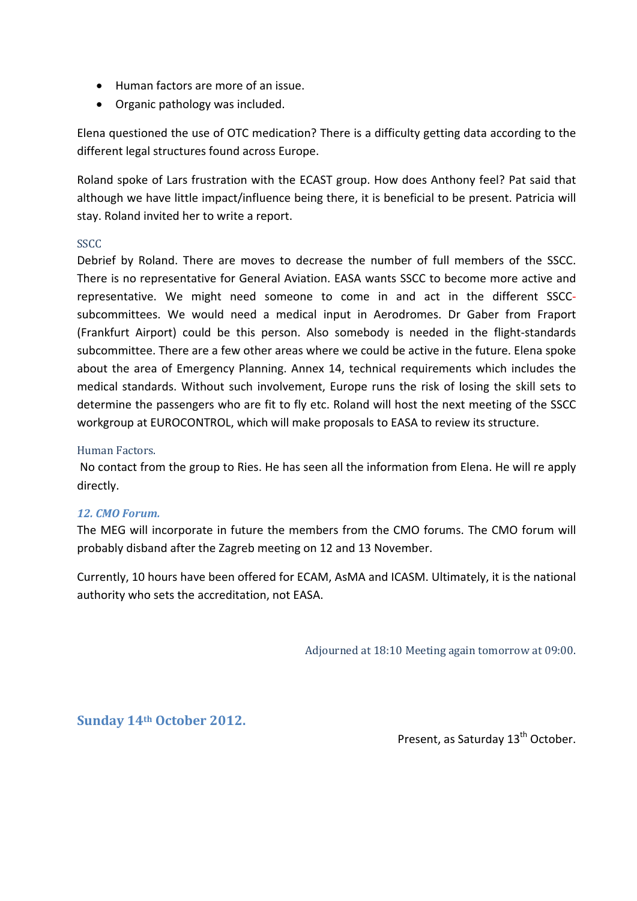- Human factors are more of an issue.
- Organic pathology was included.

Elena questioned the use of OTC medication? There is a difficulty getting data according to the different legal structures found across Europe.

Roland spoke of Lars frustration with the ECAST group. How does Anthony feel? Pat said that although we have little impact/influence being there, it is beneficial to be present. Patricia will stay. Roland invited her to write a report.

# SSCC

Debrief by Roland. There are moves to decrease the number of full members of the SSCC. There is no representative for General Aviation. EASA wants SSCC to become more active and representative. We might need someone to come in and act in the different SSCC‐ subcommittees. We would need a medical input in Aerodromes. Dr Gaber from Fraport (Frankfurt Airport) could be this person. Also somebody is needed in the flight‐standards subcommittee. There are a few other areas where we could be active in the future. Elena spoke about the area of Emergency Planning. Annex 14, technical requirements which includes the medical standards. Without such involvement, Europe runs the risk of losing the skill sets to determine the passengers who are fit to fly etc. Roland will host the next meeting of the SSCC workgroup at EUROCONTROL, which will make proposals to EASA to review its structure.

# Human Factors.

No contact from the group to Ries. He has seen all the information from Elena. He will re apply directly.

# *12. CMO Forum.*

The MEG will incorporate in future the members from the CMO forums. The CMO forum will probably disband after the Zagreb meeting on 12 and 13 November.

Currently, 10 hours have been offered for ECAM, AsMA and ICASM. Ultimately, it is the national authority who sets the accreditation, not EASA.

Adjourned at 18:10 Meeting again tomorrow at 09:00.

**Sunday 14th October 2012.**

Present, as Saturday 13<sup>th</sup> October.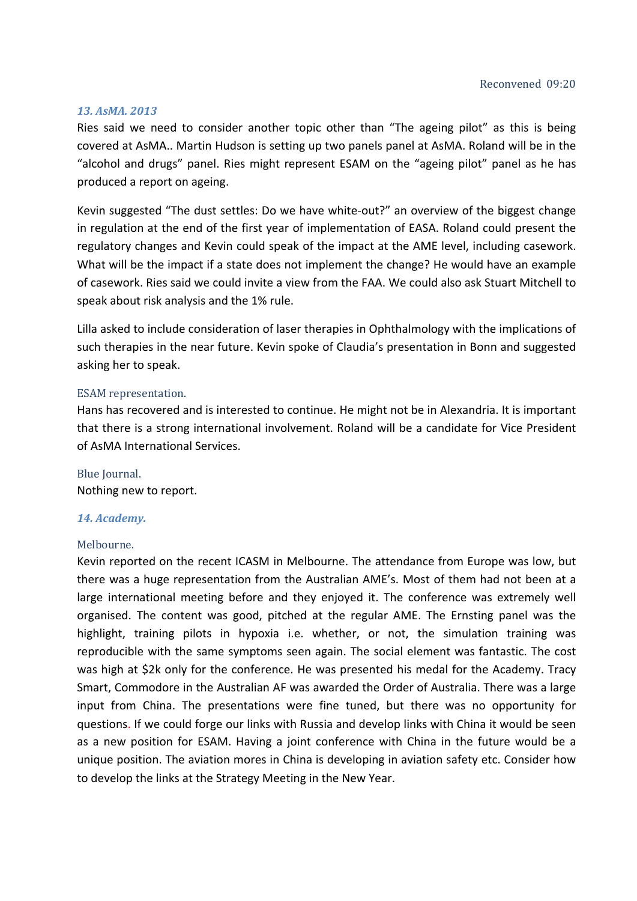#### *13. AsMA. 2013*

Ries said we need to consider another topic other than "The ageing pilot" as this is being covered at AsMA.. Martin Hudson is setting up two panels panel at AsMA. Roland will be in the "alcohol and drugs" panel. Ries might represent ESAM on the "ageing pilot" panel as he has produced a report on ageing.

Kevin suggested "The dust settles: Do we have white-out?" an overview of the biggest change in regulation at the end of the first year of implementation of EASA. Roland could present the regulatory changes and Kevin could speak of the impact at the AME level, including casework. What will be the impact if a state does not implement the change? He would have an example of casework. Ries said we could invite a view from the FAA. We could also ask Stuart Mitchell to speak about risk analysis and the 1% rule.

Lilla asked to include consideration of laser therapies in Ophthalmology with the implications of such therapies in the near future. Kevin spoke of Claudia's presentation in Bonn and suggested asking her to speak.

#### ESAM representation.

Hans has recovered and is interested to continue. He might not be in Alexandria. It is important that there is a strong international involvement. Roland will be a candidate for Vice President of AsMA International Services.

#### Blue Iournal.

Nothing new to report.

#### *14. Academy.*

#### Melbourne.

Kevin reported on the recent ICASM in Melbourne. The attendance from Europe was low, but there was a huge representation from the Australian AME's. Most of them had not been at a large international meeting before and they enjoyed it. The conference was extremely well organised. The content was good, pitched at the regular AME. The Ernsting panel was the highlight, training pilots in hypoxia i.e. whether, or not, the simulation training was reproducible with the same symptoms seen again. The social element was fantastic. The cost was high at \$2k only for the conference. He was presented his medal for the Academy. Tracy Smart, Commodore in the Australian AF was awarded the Order of Australia. There was a large input from China. The presentations were fine tuned, but there was no opportunity for questions. If we could forge our links with Russia and develop links with China it would be seen as a new position for ESAM. Having a joint conference with China in the future would be a unique position. The aviation mores in China is developing in aviation safety etc. Consider how to develop the links at the Strategy Meeting in the New Year.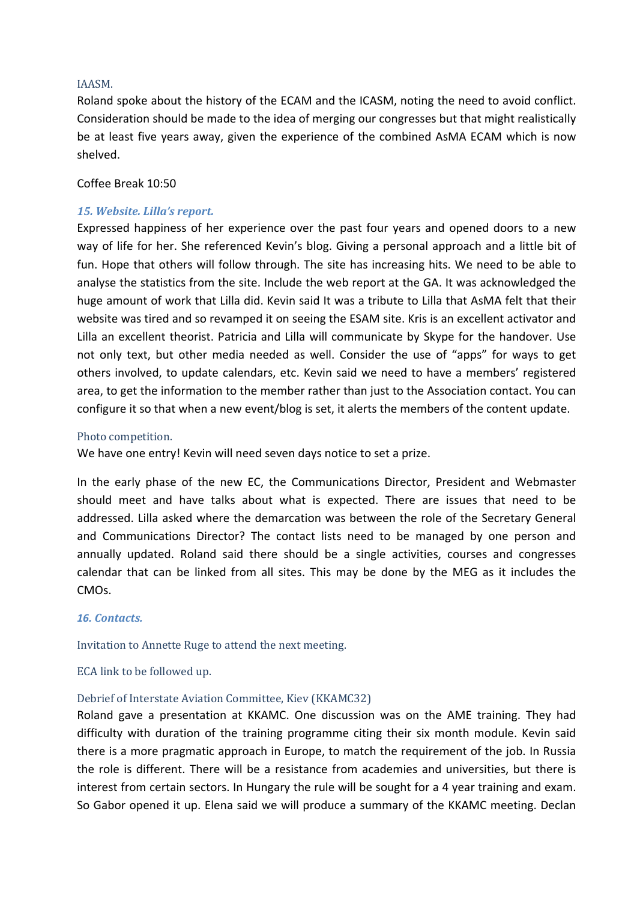## IAASM.

Roland spoke about the history of the ECAM and the ICASM, noting the need to avoid conflict. Consideration should be made to the idea of merging our congresses but that might realistically be at least five years away, given the experience of the combined AsMA ECAM which is now shelved.

## Coffee Break 10:50

# *15. Website. Lilla's report.*

Expressed happiness of her experience over the past four years and opened doors to a new way of life for her. She referenced Kevin's blog. Giving a personal approach and a little bit of fun. Hope that others will follow through. The site has increasing hits. We need to be able to analyse the statistics from the site. Include the web report at the GA. It was acknowledged the huge amount of work that Lilla did. Kevin said It was a tribute to Lilla that AsMA felt that their website was tired and so revamped it on seeing the ESAM site. Kris is an excellent activator and Lilla an excellent theorist. Patricia and Lilla will communicate by Skype for the handover. Use not only text, but other media needed as well. Consider the use of "apps" for ways to get others involved, to update calendars, etc. Kevin said we need to have a members' registered area, to get the information to the member rather than just to the Association contact. You can configure it so that when a new event/blog is set, it alerts the members of the content update.

## Photo competition.

We have one entry! Kevin will need seven days notice to set a prize.

In the early phase of the new EC, the Communications Director, President and Webmaster should meet and have talks about what is expected. There are issues that need to be addressed. Lilla asked where the demarcation was between the role of the Secretary General and Communications Director? The contact lists need to be managed by one person and annually updated. Roland said there should be a single activities, courses and congresses calendar that can be linked from all sites. This may be done by the MEG as it includes the CMOs.

#### *16. Contacts.*

Invitation to Annette Ruge to attend the next meeting.

ECA link to be followed up.

#### Debrief of Interstate Aviation Committee, Kiev (KKAMC32)

Roland gave a presentation at KKAMC. One discussion was on the AME training. They had difficulty with duration of the training programme citing their six month module. Kevin said there is a more pragmatic approach in Europe, to match the requirement of the job. In Russia the role is different. There will be a resistance from academies and universities, but there is interest from certain sectors. In Hungary the rule will be sought for a 4 year training and exam. So Gabor opened it up. Elena said we will produce a summary of the KKAMC meeting. Declan